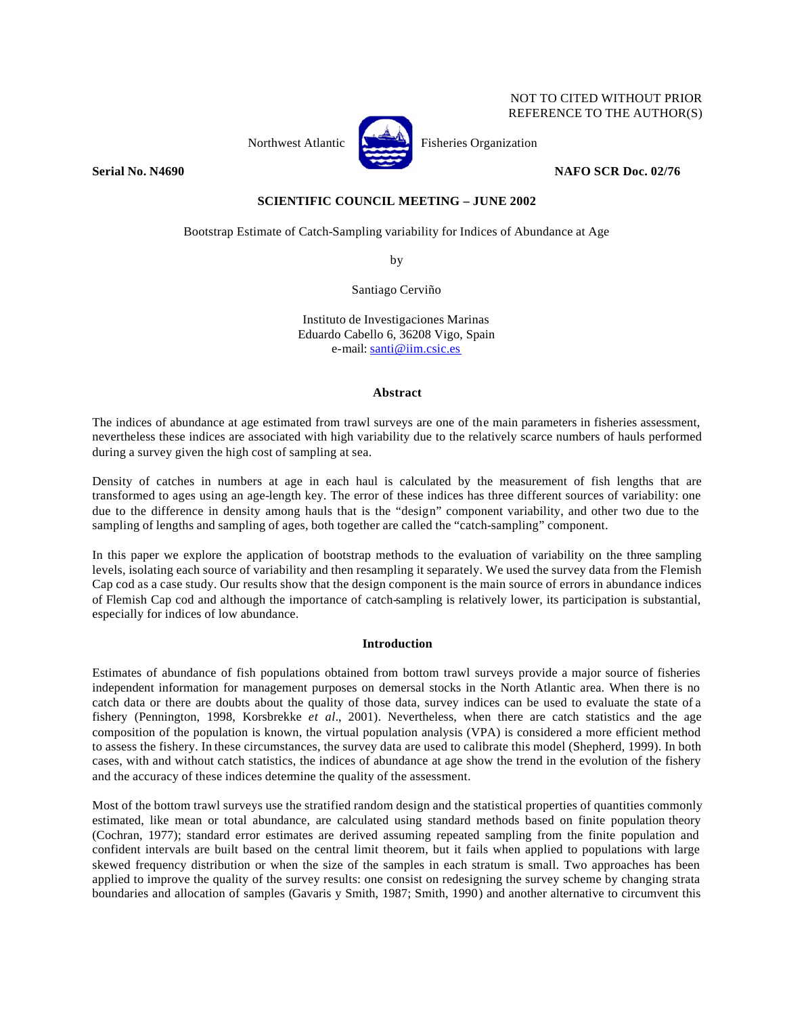# NOT TO CITED WITHOUT PRIOR REFERENCE TO THE AUTHOR(S)



Northwest Atlantic **No. 2008** Fisheries Organization

**Serial No. N4690 NAFO SCR Doc. 02/76** 

**SCIENTIFIC COUNCIL MEETING – JUNE 2002**

Bootstrap Estimate of Catch-Sampling variability for Indices of Abundance at Age

by

Santiago Cerviño

Instituto de Investigaciones Marinas Eduardo Cabello 6, 36208 Vigo, Spain e-mail: santi@iim.csic.es

## **Abstract**

The indices of abundance at age estimated from trawl surveys are one of the main parameters in fisheries assessment, nevertheless these indices are associated with high variability due to the relatively scarce numbers of hauls performed during a survey given the high cost of sampling at sea.

Density of catches in numbers at age in each haul is calculated by the measurement of fish lengths that are transformed to ages using an age-length key. The error of these indices has three different sources of variability: one due to the difference in density among hauls that is the "design" component variability, and other two due to the sampling of lengths and sampling of ages, both together are called the "catch-sampling" component.

In this paper we explore the application of bootstrap methods to the evaluation of variability on the three sampling levels, isolating each source of variability and then resampling it separately. We used the survey data from the Flemish Cap cod as a case study. Our results show that the design component is the main source of errors in abundance indices of Flemish Cap cod and although the importance of catch-sampling is relatively lower, its participation is substantial, especially for indices of low abundance.

# **Introduction**

Estimates of abundance of fish populations obtained from bottom trawl surveys provide a major source of fisheries independent information for management purposes on demersal stocks in the North Atlantic area. When there is no catch data or there are doubts about the quality of those data, survey indices can be used to evaluate the state of a fishery (Pennington, 1998, Korsbrekke *et al.*, 2001). Nevertheless, when there are catch statistics and the age composition of the population is known, the virtual population analysis (VPA) is considered a more efficient method to assess the fishery. In these circumstances, the survey data are used to calibrate this model (Shepherd, 1999). In both cases, with and without catch statistics, the indices of abundance at age show the trend in the evolution of the fishery and the accuracy of these indices determine the quality of the assessment.

Most of the bottom trawl surveys use the stratified random design and the statistical properties of quantities commonly estimated, like mean or total abundance, are calculated using standard methods based on finite population theory (Cochran, 1977); standard error estimates are derived assuming repeated sampling from the finite population and confident intervals are built based on the central limit theorem, but it fails when applied to populations with large skewed frequency distribution or when the size of the samples in each stratum is small. Two approaches has been applied to improve the quality of the survey results: one consist on redesigning the survey scheme by changing strata boundaries and allocation of samples (Gavaris y Smith, 1987; Smith, 1990) and another alternative to circumvent this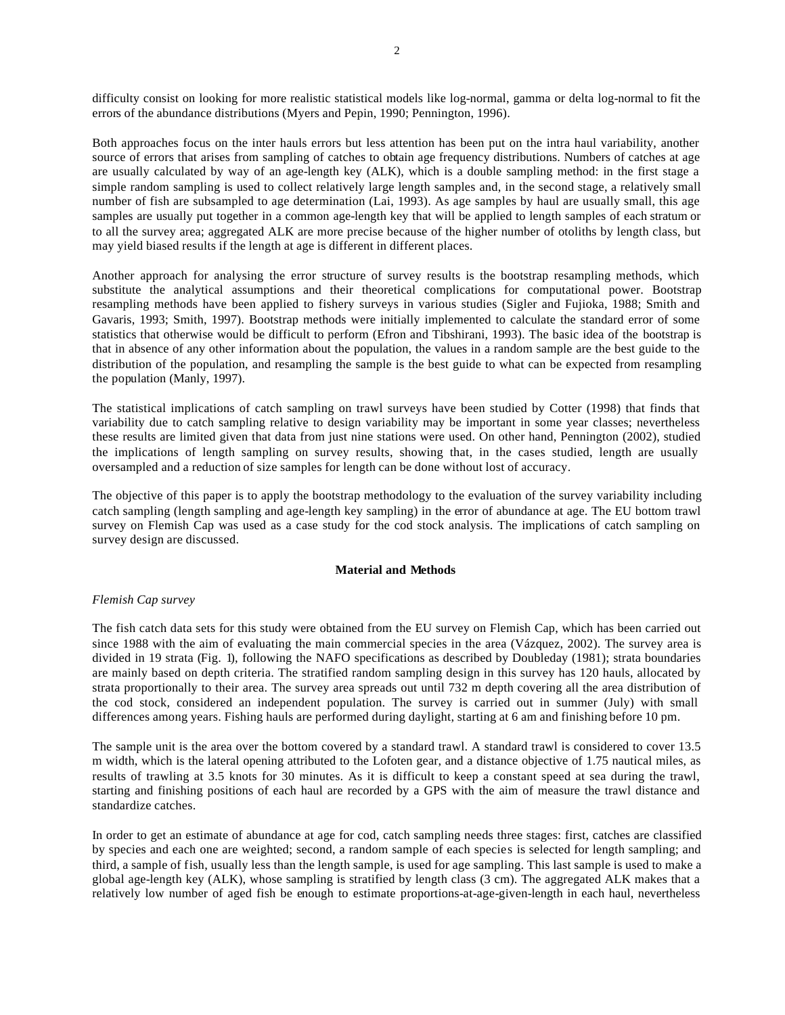difficulty consist on looking for more realistic statistical models like log-normal, gamma or delta log-normal to fit the errors of the abundance distributions (Myers and Pepin, 1990; Pennington, 1996).

Both approaches focus on the inter hauls errors but less attention has been put on the intra haul variability, another source of errors that arises from sampling of catches to obtain age frequency distributions. Numbers of catches at age are usually calculated by way of an age-length key (ALK), which is a double sampling method: in the first stage a simple random sampling is used to collect relatively large length samples and, in the second stage, a relatively small number of fish are subsampled to age determination (Lai, 1993). As age samples by haul are usually small, this age samples are usually put together in a common age-length key that will be applied to length samples of each stratum or to all the survey area; aggregated ALK are more precise because of the higher number of otoliths by length class, but may yield biased results if the length at age is different in different places.

Another approach for analysing the error structure of survey results is the bootstrap resampling methods, which substitute the analytical assumptions and their theoretical complications for computational power. Bootstrap resampling methods have been applied to fishery surveys in various studies (Sigler and Fujioka, 1988; Smith and Gavaris, 1993; Smith, 1997). Bootstrap methods were initially implemented to calculate the standard error of some statistics that otherwise would be difficult to perform (Efron and Tibshirani, 1993). The basic idea of the bootstrap is that in absence of any other information about the population, the values in a random sample are the best guide to the distribution of the population, and resampling the sample is the best guide to what can be expected from resampling the population (Manly, 1997).

The statistical implications of catch sampling on trawl surveys have been studied by Cotter (1998) that finds that variability due to catch sampling relative to design variability may be important in some year classes; nevertheless these results are limited given that data from just nine stations were used. On other hand, Pennington (2002), studied the implications of length sampling on survey results, showing that, in the cases studied, length are usually oversampled and a reduction of size samples for length can be done without lost of accuracy.

The objective of this paper is to apply the bootstrap methodology to the evaluation of the survey variability including catch sampling (length sampling and age-length key sampling) in the error of abundance at age. The EU bottom trawl survey on Flemish Cap was used as a case study for the cod stock analysis. The implications of catch sampling on survey design are discussed.

# **Material and Methods**

# *Flemish Cap survey*

The fish catch data sets for this study were obtained from the EU survey on Flemish Cap, which has been carried out since 1988 with the aim of evaluating the main commercial species in the area (Vázquez, 2002). The survey area is divided in 19 strata (Fig. 1), following the NAFO specifications as described by Doubleday (1981); strata boundaries are mainly based on depth criteria. The stratified random sampling design in this survey has 120 hauls, allocated by strata proportionally to their area. The survey area spreads out until 732 m depth covering all the area distribution of the cod stock, considered an independent population. The survey is carried out in summer (July) with small differences among years. Fishing hauls are performed during daylight, starting at 6 am and finishing before 10 pm.

The sample unit is the area over the bottom covered by a standard trawl. A standard trawl is considered to cover 13.5 m width, which is the lateral opening attributed to the Lofoten gear, and a distance objective of 1.75 nautical miles, as results of trawling at 3.5 knots for 30 minutes. As it is difficult to keep a constant speed at sea during the trawl, starting and finishing positions of each haul are recorded by a GPS with the aim of measure the trawl distance and standardize catches.

In order to get an estimate of abundance at age for cod, catch sampling needs three stages: first, catches are classified by species and each one are weighted; second, a random sample of each species is selected for length sampling; and third, a sample of fish, usually less than the length sample, is used for age sampling. This last sample is used to make a global age-length key (ALK), whose sampling is stratified by length class (3 cm). The aggregated ALK makes that a relatively low number of aged fish be enough to estimate proportions-at-age-given-length in each haul, nevertheless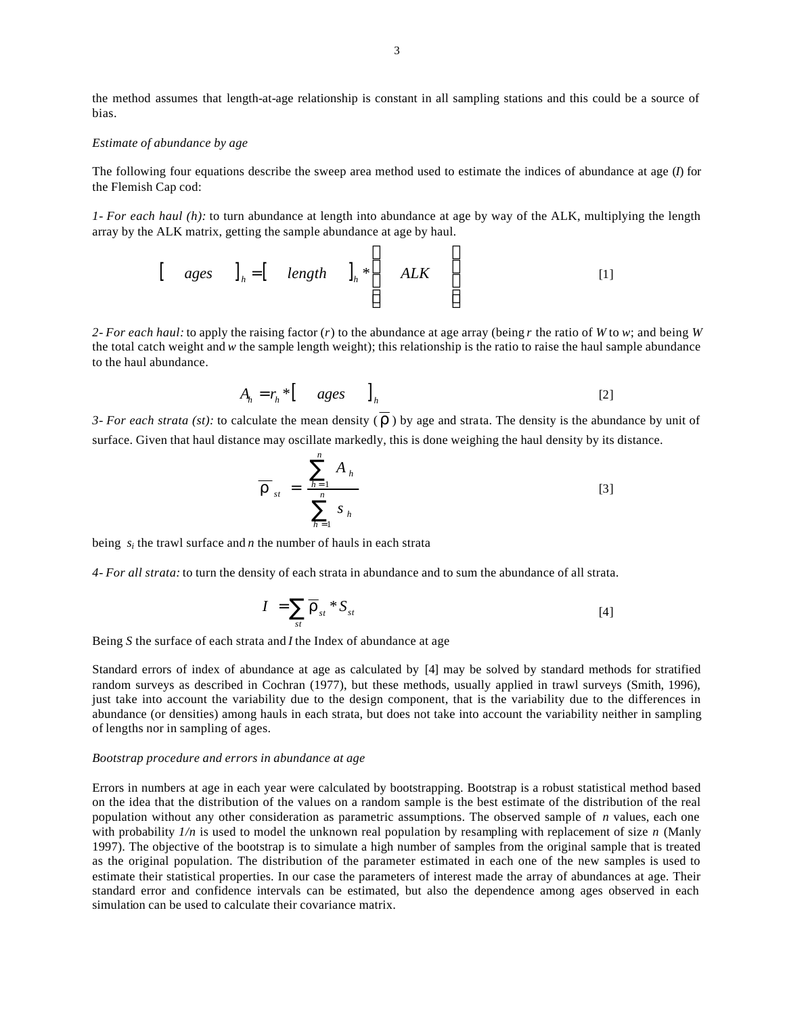the method assumes that length-at-age relationship is constant in all sampling stations and this could be a source of bias.

## *Estimate of abundance by age*

The following four equations describe the sweep area method used to estimate the indices of abundance at age (*I*) for the Flemish Cap cod:

*1- For each haul (h):* to turn abundance at length into abundance at age by way of the ALK, multiplying the length array by the ALK matrix, getting the sample abundance at age by haul.

$$
\begin{bmatrix} \text{ages} \\ \text{ } \\ \text{ } \\ \text{ } \end{bmatrix}_h = \begin{bmatrix} \text{length} \\ \text{ } \\ \text{ } \\ \text{ } \\ \text{ } \end{bmatrix}_h \ast \begin{bmatrix} \text{ALK} \\ \text{ } \\ \text{ } \\ \text{ } \end{bmatrix}
$$

г

*2- For each haul:* to apply the raising factor (*r*) to the abundance at age array (being *r* the ratio of *W* to *w*; and being *W* the total catch weight and *w* the sample length weight); this relationship is the ratio to raise the haul sample abundance to the haul abundance.

$$
A_h = r_h * [ \qquad ages \qquad ]_h \tag{2}
$$

 $\mathbf{I}$ 

*3- For each strata (st):* to calculate the mean density  $(\vec{r})$  by age and strata. The density is the abundance by unit of surface. Given that haul distance may oscillate markedly, this is done weighing the haul density by its distance.

$$
\overline{\boldsymbol{r}}_{st} = \frac{\sum_{h=1}^{n} A_h}{\sum_{h=1}^{n} s_h}
$$
 [3]

being  $s_i$  the trawl surface and *n* the number of hauls in each strata

*4- For all strata:* to turn the density of each strata in abundance and to sum the abundance of all strata.

$$
I = \sum_{st} \overline{r}_{st} * S_{st} \tag{4}
$$

Being *S* the surface of each strata and *I* the Index of abundance at age

Standard errors of index of abundance at age as calculated by [4] may be solved by standard methods for stratified random surveys as described in Cochran (1977), but these methods, usually applied in trawl surveys (Smith, 1996), just take into account the variability due to the design component, that is the variability due to the differences in abundance (or densities) among hauls in each strata, but does not take into account the variability neither in sampling of lengths nor in sampling of ages.

## *Bootstrap procedure and errors in abundance at age*

Errors in numbers at age in each year were calculated by bootstrapping. Bootstrap is a robust statistical method based on the idea that the distribution of the values on a random sample is the best estimate of the distribution of the real population without any other consideration as parametric assumptions. The observed sample of *n* values, each one with probability  $1/n$  is used to model the unknown real population by resampling with replacement of size *n* (Manly 1997). The objective of the bootstrap is to simulate a high number of samples from the original sample that is treated as the original population. The distribution of the parameter estimated in each one of the new samples is used to estimate their statistical properties. In our case the parameters of interest made the array of abundances at age. Their standard error and confidence intervals can be estimated, but also the dependence among ages observed in each simulation can be used to calculate their covariance matrix.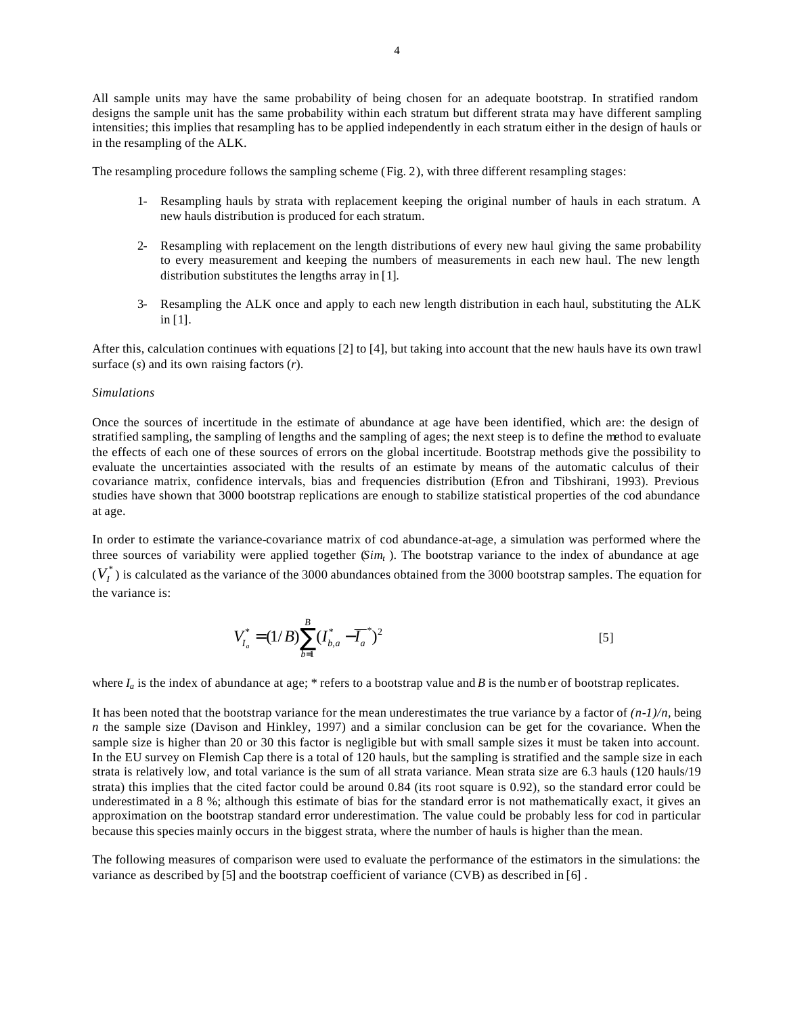All sample units may have the same probability of being chosen for an adequate bootstrap. In stratified random designs the sample unit has the same probability within each stratum but different strata may have different sampling intensities; this implies that resampling has to be applied independently in each stratum either in the design of hauls or in the resampling of the ALK.

The resampling procedure follows the sampling scheme (Fig. 2), with three different resampling stages:

- 1- Resampling hauls by strata with replacement keeping the original number of hauls in each stratum. A new hauls distribution is produced for each stratum.
- 2- Resampling with replacement on the length distributions of every new haul giving the same probability to every measurement and keeping the numbers of measurements in each new haul. The new length distribution substitutes the lengths array in [1].
- 3- Resampling the ALK once and apply to each new length distribution in each haul, substituting the ALK in [1].

After this, calculation continues with equations [2] to [4], but taking into account that the new hauls have its own trawl surface (*s*) and its own raising factors (*r*).

## *Simulations*

Once the sources of incertitude in the estimate of abundance at age have been identified, which are: the design of stratified sampling, the sampling of lengths and the sampling of ages; the next steep is to define the method to evaluate the effects of each one of these sources of errors on the global incertitude. Bootstrap methods give the possibility to evaluate the uncertainties associated with the results of an estimate by means of the automatic calculus of their covariance matrix, confidence intervals, bias and frequencies distribution (Efron and Tibshirani, 1993). Previous studies have shown that 3000 bootstrap replications are enough to stabilize statistical properties of the cod abundance at age.

In order to estimate the variance-covariance matrix of cod abundance-at-age, a simulation was performed where the three sources of variability were applied together (*Simt* ). The bootstrap variance to the index of abundance at age  $(V_I^*)$  is calculated as the variance of the 3000 abundances obtained from the 3000 bootstrap samples. The equation for the variance is:

$$
V_{I_a}^* = (1/B)\sum_{b=1}^B (I_{b,a}^* - \overline{I_a}^*)^2
$$
 [5]

where  $I_a$  is the index of abundance at age; \* refers to a bootstrap value and *B* is the numb er of bootstrap replicates.

It has been noted that the bootstrap variance for the mean underestimates the true variance by a factor of  $(n-1)/n$ , being *n* the sample size (Davison and Hinkley, 1997) and a similar conclusion can be get for the covariance. When the sample size is higher than 20 or 30 this factor is negligible but with small sample sizes it must be taken into account. In the EU survey on Flemish Cap there is a total of 120 hauls, but the sampling is stratified and the sample size in each strata is relatively low, and total variance is the sum of all strata variance. Mean strata size are 6.3 hauls (120 hauls/19 strata) this implies that the cited factor could be around 0.84 (its root square is 0.92), so the standard error could be underestimated in a 8 %; although this estimate of bias for the standard error is not mathematically exact, it gives an approximation on the bootstrap standard error underestimation. The value could be probably less for cod in particular because this species mainly occurs in the biggest strata, where the number of hauls is higher than the mean.

The following measures of comparison were used to evaluate the performance of the estimators in the simulations: the variance as described by [5] and the bootstrap coefficient of variance (CVB) as described in [6] .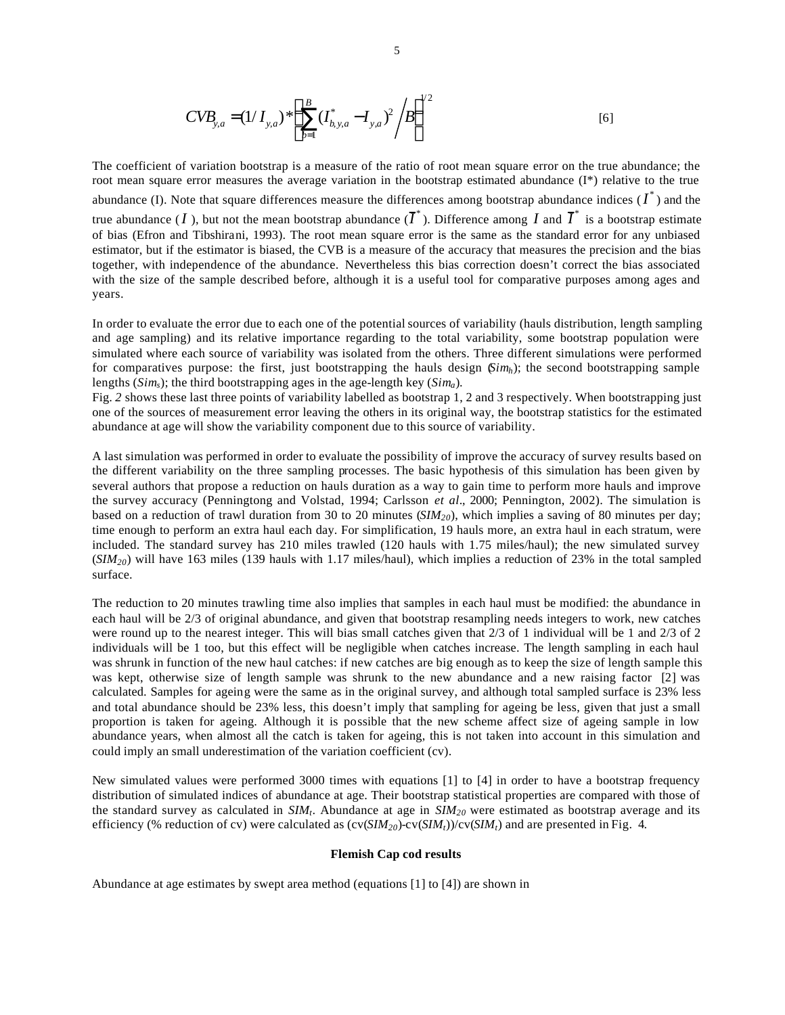$$
CVB_{y,a} = (1/I_{y,a}) * \left(\sum_{b=1}^{B} (I_{b,y,a}^* - I_{y,a})^2 / B\right)^{1/2}
$$
 [6]

The coefficient of variation bootstrap is a measure of the ratio of root mean square error on the true abundance; the root mean square error measures the average variation in the bootstrap estimated abundance  $(I^*)$  relative to the true abundance (I). Note that square differences measure the differences among bootstrap abundance indices  $(I^*)$  and the true abundance (*I*), but not the mean bootstrap abundance ( $\overline{I}^*$ ). Difference among *I* and  $\overline{I}^*$  is a bootstrap estimate of bias (Efron and Tibshirani, 1993). The root mean square error is the same as the standard error for any unbiased estimator, but if the estimator is biased, the CVB is a measure of the accuracy that measures the precision and the bias together, with independence of the abundance. Nevertheless this bias correction doesn't correct the bias associated with the size of the sample described before, although it is a useful tool for comparative purposes among ages and years.

In order to evaluate the error due to each one of the potential sources of variability (hauls distribution, length sampling and age sampling) and its relative importance regarding to the total variability, some bootstrap population were simulated where each source of variability was isolated from the others. Three different simulations were performed for comparatives purpose: the first, just bootstrapping the hauls design (*Simh*); the second bootstrapping sample lengths (*Sims*); the third bootstrapping ages in the age-length key (*Sima*).

Fig. 2 shows these last three points of variability labelled as bootstrap 1, 2 and 3 respectively. When bootstrapping just one of the sources of measurement error leaving the others in its original way, the bootstrap statistics for the estimated abundance at age will show the variability component due to this source of variability.

A last simulation was performed in order to evaluate the possibility of improve the accuracy of survey results based on the different variability on the three sampling processes. The basic hypothesis of this simulation has been given by several authors that propose a reduction on hauls duration as a way to gain time to perform more hauls and improve the survey accuracy (Penningtong and Volstad, 1994; Carlsson *et al*., 2000; Pennington, 2002). The simulation is based on a reduction of trawl duration from 30 to 20 minutes (*SIM20*), which implies a saving of 80 minutes per day; time enough to perform an extra haul each day. For simplification, 19 hauls more, an extra haul in each stratum, were included. The standard survey has 210 miles trawled (120 hauls with 1.75 miles/haul); the new simulated survey (*SIM20*) will have 163 miles (139 hauls with 1.17 miles/haul), which implies a reduction of 23% in the total sampled surface.

The reduction to 20 minutes trawling time also implies that samples in each haul must be modified: the abundance in each haul will be 2/3 of original abundance, and given that bootstrap resampling needs integers to work, new catches were round up to the nearest integer. This will bias small catches given that 2/3 of 1 individual will be 1 and 2/3 of 2 individuals will be 1 too, but this effect will be negligible when catches increase. The length sampling in each haul was shrunk in function of the new haul catches: if new catches are big enough as to keep the size of length sample this was kept, otherwise size of length sample was shrunk to the new abundance and a new raising factor [2] was calculated. Samples for ageing were the same as in the original survey, and although total sampled surface is 23% less and total abundance should be 23% less, this doesn't imply that sampling for ageing be less, given that just a small proportion is taken for ageing. Although it is possible that the new scheme affect size of ageing sample in low abundance years, when almost all the catch is taken for ageing, this is not taken into account in this simulation and could imply an small underestimation of the variation coefficient (cv).

New simulated values were performed 3000 times with equations [1] to [4] in order to have a bootstrap frequency distribution of simulated indices of abundance at age. Their bootstrap statistical properties are compared with those of the standard survey as calculated in *SIM<sup>t</sup>* . Abundance at age in *SIM20* were estimated as bootstrap average and its efficiency (% reduction of cv) were calculated as  $\frac{cv(SIM_2o)-cv(SIM_t)}{cv(SIM_t)}$  and are presented in Fig. 4.

### **Flemish Cap cod results**

Abundance at age estimates by swept area method (equations [1] to [4]) are shown in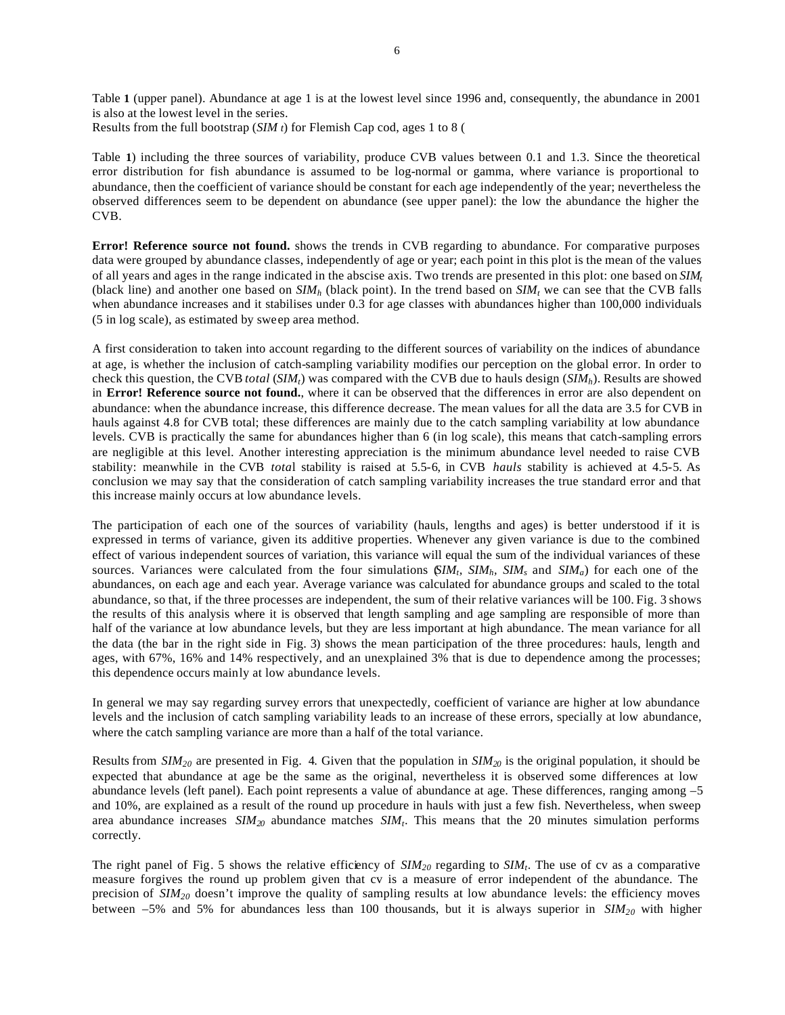Table **1** (upper panel). Abundance at age 1 is at the lowest level since 1996 and, consequently, the abundance in 2001 is also at the lowest level in the series.

Results from the full bootstrap (*SIM t*) for Flemish Cap cod, ages 1 to 8 (

Table **1**) including the three sources of variability, produce CVB values between 0.1 and 1.3. Since the theoretical error distribution for fish abundance is assumed to be log-normal or gamma, where variance is proportional to abundance, then the coefficient of variance should be constant for each age independently of the year; nevertheless the observed differences seem to be dependent on abundance (see upper panel): the low the abundance the higher the CVB.

**Error! Reference source not found.** shows the trends in CVB regarding to abundance. For comparative purposes data were grouped by abundance classes, independently of age or year; each point in this plot is the mean of the values of all years and ages in the range indicated in the abscise axis. Two trends are presented in this plot: one based on *SIM<sup>t</sup>* (black line) and another one based on  $SIM<sub>h</sub>$  (black point). In the trend based on  $SIM<sub>t</sub>$  we can see that the CVB falls when abundance increases and it stabilises under 0.3 for age classes with abundances higher than 100,000 individuals (5 in log scale), as estimated by sweep area method.

A first consideration to taken into account regarding to the different sources of variability on the indices of abundance at age, is whether the inclusion of catch-sampling variability modifies our perception on the global error. In order to check this question, the CVB *total* (*SIMt*) was compared with the CVB due to hauls design (*SIMh*). Results are showed in **Error! Reference source not found.**, where it can be observed that the differences in error are also dependent on abundance: when the abundance increase, this difference decrease. The mean values for all the data are 3.5 for CVB in hauls against 4.8 for CVB total; these differences are mainly due to the catch sampling variability at low abundance levels. CVB is practically the same for abundances higher than 6 (in log scale), this means that catch-sampling errors are negligible at this level. Another interesting appreciation is the minimum abundance level needed to raise CVB stability: meanwhile in the CVB *tota*l stability is raised at 5.5-6, in CVB *hauls* stability is achieved at 4.5-5. As conclusion we may say that the consideration of catch sampling variability increases the true standard error and that this increase mainly occurs at low abundance levels.

The participation of each one of the sources of variability (hauls, lengths and ages) is better understood if it is expressed in terms of variance, given its additive properties. Whenever any given variance is due to the combined effect of various independent sources of variation, this variance will equal the sum of the individual variances of these sources. Variances were calculated from the four simulations  $\mathcal{G}IM_t$ *,*  $\mathcal{S}IM_h$ *,*  $\mathcal{S}IM_s$  and  $\mathcal{S}IM_a$  for each one of the abundances, on each age and each year. Average variance was calculated for abundance groups and scaled to the total abundance, so that, if the three processes are independent, the sum of their relative variances will be 100. Fig. 3 shows the results of this analysis where it is observed that length sampling and age sampling are responsible of more than half of the variance at low abundance levels, but they are less important at high abundance. The mean variance for all the data (the bar in the right side in Fig. 3) shows the mean participation of the three procedures: hauls, length and ages, with 67%, 16% and 14% respectively, and an unexplained 3% that is due to dependence among the processes; this dependence occurs mainly at low abundance levels.

In general we may say regarding survey errors that unexpectedly, coefficient of variance are higher at low abundance levels and the inclusion of catch sampling variability leads to an increase of these errors, specially at low abundance, where the catch sampling variance are more than a half of the total variance.

Results from *SIM20* are presented in Fig. 4. Given that the population in *SIM20* is the original population, it should be expected that abundance at age be the same as the original, nevertheless it is observed some differences at low abundance levels (left panel). Each point represents a value of abundance at age. These differences, ranging among –5 and 10%, are explained as a result of the round up procedure in hauls with just a few fish. Nevertheless, when sweep area abundance increases *SIM<sup>20</sup>* abundance matches *SIM<sup>t</sup>* . This means that the 20 minutes simulation performs correctly.

The right panel of Fig. 5 shows the relative efficiency of  $SIM_{20}$  regarding to  $SIM_t$ . The use of cv as a comparative measure forgives the round up problem given that cv is a measure of error independent of the abundance. The precision of  $SIM<sub>20</sub>$  doesn't improve the quality of sampling results at low abundance levels: the efficiency moves between –5% and 5% for abundances less than 100 thousands, but it is always superior in *SIM20* with higher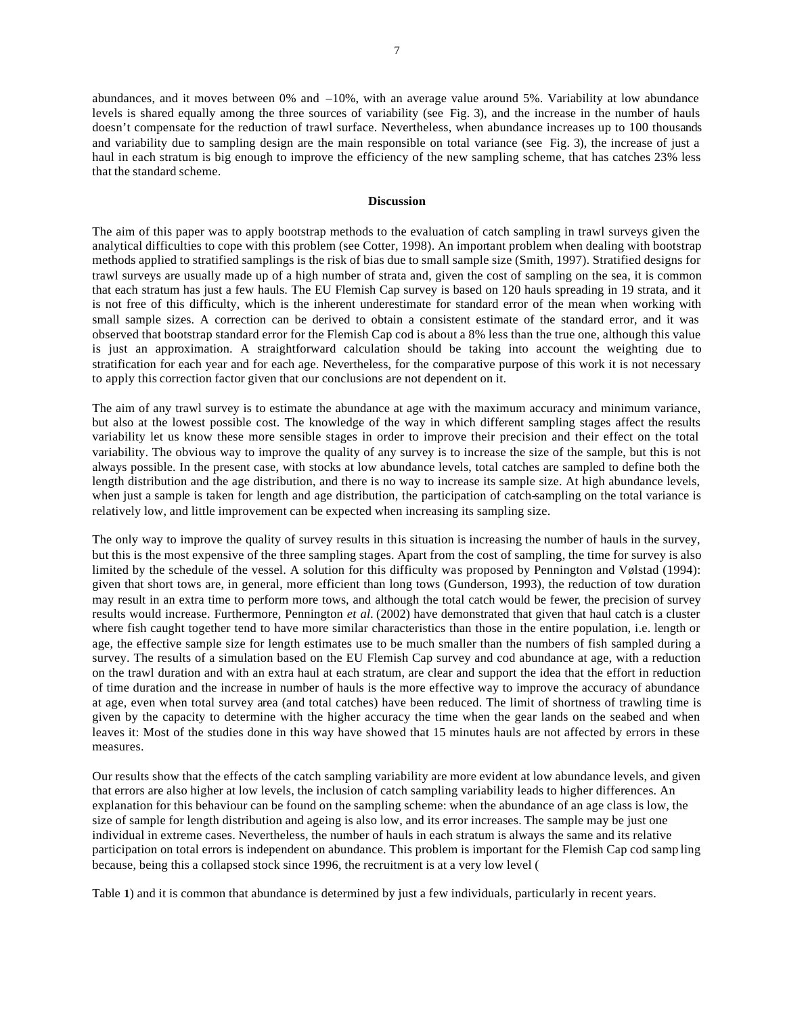abundances, and it moves between 0% and –10%, with an average value around 5%. Variability at low abundance levels is shared equally among the three sources of variability (see Fig. 3), and the increase in the number of hauls doesn't compensate for the reduction of trawl surface. Nevertheless, when abundance increases up to 100 thousands and variability due to sampling design are the main responsible on total variance (see Fig. 3), the increase of just a haul in each stratum is big enough to improve the efficiency of the new sampling scheme, that has catches 23% less that the standard scheme.

### **Discussion**

The aim of this paper was to apply bootstrap methods to the evaluation of catch sampling in trawl surveys given the analytical difficulties to cope with this problem (see Cotter, 1998). An important problem when dealing with bootstrap methods applied to stratified samplings is the risk of bias due to small sample size (Smith, 1997). Stratified designs for trawl surveys are usually made up of a high number of strata and, given the cost of sampling on the sea, it is common that each stratum has just a few hauls. The EU Flemish Cap survey is based on 120 hauls spreading in 19 strata, and it is not free of this difficulty, which is the inherent underestimate for standard error of the mean when working with small sample sizes. A correction can be derived to obtain a consistent estimate of the standard error, and it was observed that bootstrap standard error for the Flemish Cap cod is about a 8% less than the true one, although this value is just an approximation. A straightforward calculation should be taking into account the weighting due to stratification for each year and for each age. Nevertheless, for the comparative purpose of this work it is not necessary to apply this correction factor given that our conclusions are not dependent on it.

The aim of any trawl survey is to estimate the abundance at age with the maximum accuracy and minimum variance, but also at the lowest possible cost. The knowledge of the way in which different sampling stages affect the results variability let us know these more sensible stages in order to improve their precision and their effect on the total variability. The obvious way to improve the quality of any survey is to increase the size of the sample, but this is not always possible. In the present case, with stocks at low abundance levels, total catches are sampled to define both the length distribution and the age distribution, and there is no way to increase its sample size. At high abundance levels, when just a sample is taken for length and age distribution, the participation of catch-sampling on the total variance is relatively low, and little improvement can be expected when increasing its sampling size.

The only way to improve the quality of survey results in this situation is increasing the number of hauls in the survey, but this is the most expensive of the three sampling stages. Apart from the cost of sampling, the time for survey is also limited by the schedule of the vessel. A solution for this difficulty was proposed by Pennington and Vølstad (1994): given that short tows are, in general, more efficient than long tows (Gunderson, 1993), the reduction of tow duration may result in an extra time to perform more tows, and although the total catch would be fewer, the precision of survey results would increase. Furthermore, Pennington *et al.* (2002) have demonstrated that given that haul catch is a cluster where fish caught together tend to have more similar characteristics than those in the entire population, i.e. length or age, the effective sample size for length estimates use to be much smaller than the numbers of fish sampled during a survey. The results of a simulation based on the EU Flemish Cap survey and cod abundance at age, with a reduction on the trawl duration and with an extra haul at each stratum, are clear and support the idea that the effort in reduction of time duration and the increase in number of hauls is the more effective way to improve the accuracy of abundance at age, even when total survey area (and total catches) have been reduced. The limit of shortness of trawling time is given by the capacity to determine with the higher accuracy the time when the gear lands on the seabed and when leaves it: Most of the studies done in this way have showed that 15 minutes hauls are not affected by errors in these measures.

Our results show that the effects of the catch sampling variability are more evident at low abundance levels, and given that errors are also higher at low levels, the inclusion of catch sampling variability leads to higher differences. An explanation for this behaviour can be found on the sampling scheme: when the abundance of an age class is low, the size of sample for length distribution and ageing is also low, and its error increases. The sample may be just one individual in extreme cases. Nevertheless, the number of hauls in each stratum is always the same and its relative participation on total errors is independent on abundance. This problem is important for the Flemish Cap cod samp ling because, being this a collapsed stock since 1996, the recruitment is at a very low level (

Table **1**) and it is common that abundance is determined by just a few individuals, particularly in recent years.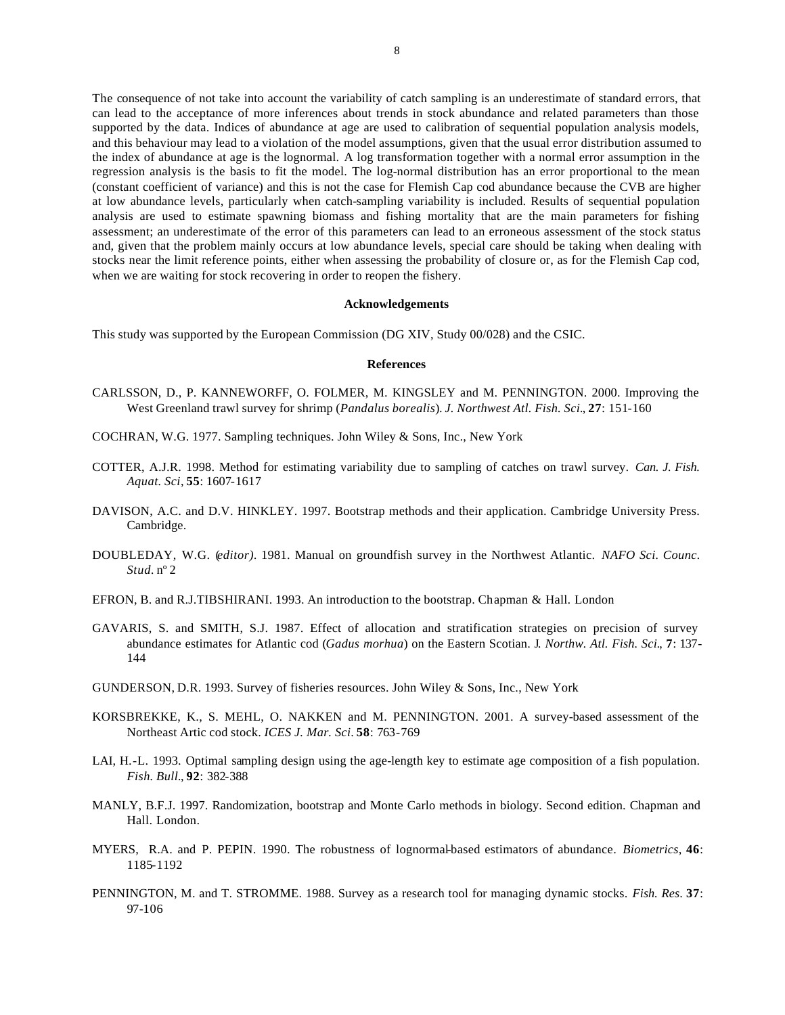The consequence of not take into account the variability of catch sampling is an underestimate of standard errors, that can lead to the acceptance of more inferences about trends in stock abundance and related parameters than those supported by the data. Indices of abundance at age are used to calibration of sequential population analysis models, and this behaviour may lead to a violation of the model assumptions, given that the usual error distribution assumed to the index of abundance at age is the lognormal. A log transformation together with a normal error assumption in the regression analysis is the basis to fit the model. The log-normal distribution has an error proportional to the mean (constant coefficient of variance) and this is not the case for Flemish Cap cod abundance because the CVB are higher at low abundance levels, particularly when catch-sampling variability is included. Results of sequential population analysis are used to estimate spawning biomass and fishing mortality that are the main parameters for fishing assessment; an underestimate of the error of this parameters can lead to an erroneous assessment of the stock status and, given that the problem mainly occurs at low abundance levels, special care should be taking when dealing with stocks near the limit reference points, either when assessing the probability of closure or, as for the Flemish Cap cod, when we are waiting for stock recovering in order to reopen the fishery.

#### **Acknowledgements**

This study was supported by the European Commission (DG XIV, Study 00/028) and the CSIC.

#### **References**

- CARLSSON, D., P. KANNEWORFF, O. FOLMER, M. KINGSLEY and M. PENNINGTON. 2000. Improving the West Greenland trawl survey for shrimp (*Pandalus borealis*). *J. Northwest Atl. Fish. Sci.*, **27**: 151-160
- COCHRAN, W.G. 1977. Sampling techniques. John Wiley & Sons, Inc., New York
- COTTER, A.J.R. 1998. Method for estimating variability due to sampling of catches on trawl survey. *Can. J. Fish. Aquat. Sci*, **55**: 1607-1617
- DAVISON, A.C. and D.V. HINKLEY. 1997. Bootstrap methods and their application. Cambridge University Press. Cambridge.
- DOUBLEDAY, W.G. (*editor).* 1981. Manual on groundfish survey in the Northwest Atlantic. *NAFO Sci. Counc. Stud.* nº 2
- EFRON, B. and R.J.TIBSHIRANI. 1993. An introduction to the bootstrap. Chapman & Hall. London
- GAVARIS, S. and SMITH, S.J. 1987. Effect of allocation and stratification strategies on precision of survey abundance estimates for Atlantic cod (*Gadus morhua*) on the Eastern Scotian. J*. Northw. Atl. Fish. Sci.*, **7**: 137- 144
- GUNDERSON, D.R. 1993. Survey of fisheries resources. John Wiley & Sons, Inc., New York
- KORSBREKKE, K., S. MEHL, O. NAKKEN and M. PENNINGTON. 2001. A survey-based assessment of the Northeast Artic cod stock. *ICES J. Mar. Sci*. **58**: 763-769
- LAI, H.-L. 1993. Optimal sampling design using the age-length key to estimate age composition of a fish population. *Fish. Bull.*, **92**: 382-388
- MANLY, B.F.J. 1997. Randomization, bootstrap and Monte Carlo methods in biology. Second edition. Chapman and Hall. London.
- MYERS, R.A. and P. PEPIN. 1990. The robustness of lognormal-based estimators of abundance. *Biometrics*, **46**: 1185-1192
- PENNINGTON, M. and T. STROMME. 1988. Survey as a research tool for managing dynamic stocks. *Fish. Res*. **37**: 97-106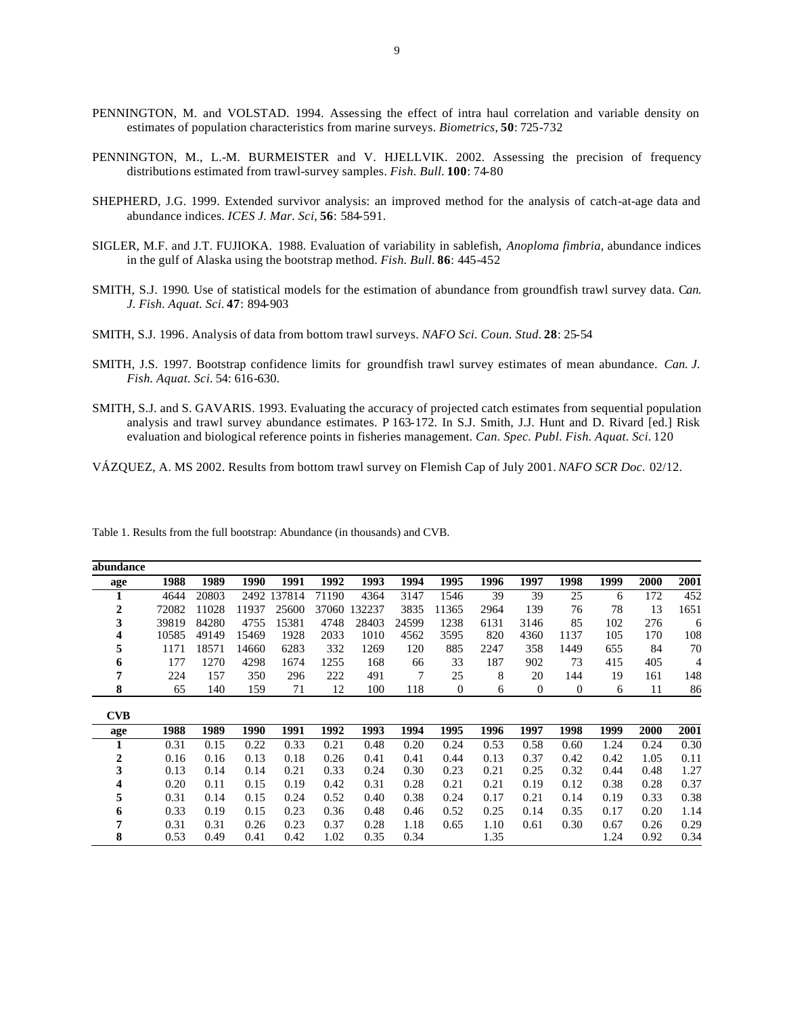- PENNINGTON, M. and VOLSTAD. 1994. Assessing the effect of intra haul correlation and variable density on estimates of population characteristics from marine surveys. *Biometrics*, **50**: 725-732
- PENNINGTON, M., L.-M. BURMEISTER and V. HJELLVIK. 2002. Assessing the precision of frequency distributions estimated from trawl-survey samples. *Fish. Bull.* **100**: 74-80
- SHEPHERD, J.G. 1999. Extended survivor analysis: an improved method for the analysis of catch-at-age data and abundance indices. *ICES J. Mar. Sci*, **56**: 584-591.
- SIGLER, M.F. and J.T. FUJIOKA. 1988. Evaluation of variability in sablefish, *Anoploma fimbria*, abundance indices in the gulf of Alaska using the bootstrap method. *Fish. Bull.* **86**: 445-452
- SMITH, S.J. 1990. Use of statistical models for the estimation of abundance from groundfish trawl survey data. C*an. J. Fish. Aquat. Sci.* **47**: 894-903
- SMITH, S.J. 1996. Analysis of data from bottom trawl surveys. *NAFO Sci. Coun. Stud.* **28**: 25-54
- SMITH, J.S. 1997. Bootstrap confidence limits for groundfish trawl survey estimates of mean abundance. *Can. J. Fish. Aquat. Sci.* 54: 616-630.
- SMITH, S.J. and S. GAVARIS. 1993. Evaluating the accuracy of projected catch estimates from sequential population analysis and trawl survey abundance estimates. P 163-172. In S.J. Smith, J.J. Hunt and D. Rivard [ed.] Risk evaluation and biological reference points in fisheries management. *Can. Spec. Publ. Fish. Aquat. Sci.* 120
- VÁZQUEZ, A. MS 2002. Results from bottom trawl survey on Flemish Cap of July 2001. *NAFO SCR Doc.* 02/12.

| abundance  |       |       |       |        |       |        |       |                |      |          |              |      |      |      |
|------------|-------|-------|-------|--------|-------|--------|-------|----------------|------|----------|--------------|------|------|------|
| age        | 1988  | 1989  | 1990  | 1991   | 1992  | 1993   | 1994  | 1995           | 1996 | 1997     | 1998         | 1999 | 2000 | 2001 |
| T          | 4644  | 20803 | 2492  | 137814 | 71190 | 4364   | 3147  | 1546           | 39   | 39       | 25           | 6    | 172  | 452  |
| 2          | 72082 | 11028 | 11937 | 25600  | 37060 | 132237 | 3835  | 11365          | 2964 | 139      | 76           | 78   | 13   | 1651 |
| 3          | 39819 | 84280 | 4755  | 15381  | 4748  | 28403  | 24599 | 1238           | 6131 | 3146     | 85           | 102  | 276  | 6    |
| 4          | 10585 | 49149 | 15469 | 1928   | 2033  | 1010   | 4562  | 3595           | 820  | 4360     | 1137         | 105  | 170  | 108  |
| 5          | 1171  | 18571 | 14660 | 6283   | 332   | 1269   | 120   | 885            | 2247 | 358      | 1449         | 655  | 84   | 70   |
| 6          | 177   | 1270  | 4298  | 1674   | 1255  | 168    | 66    | 33             | 187  | 902      | 73           | 415  | 405  | 4    |
| 7          | 224   | 157   | 350   | 296    | 222   | 491    | 7     | 25             | 8    | 20       | 144          | 19   | 161  | 148  |
| 8          | 65    | 140   | 159   | 71     | 12    | 100    | 118   | $\overline{0}$ | 6    | $\theta$ | $\mathbf{0}$ | 6    | 11   | 86   |
| <b>CVB</b> |       |       |       |        |       |        |       |                |      |          |              |      |      |      |
| age        | 1988  | 1989  | 1990  | 1991   | 1992  | 1993   | 1994  | 1995           | 1996 | 1997     | 1998         | 1999 | 2000 | 2001 |
| 1          | 0.31  | 0.15  | 0.22  | 0.33   | 0.21  | 0.48   | 0.20  | 0.24           | 0.53 | 0.58     | 0.60         | 1.24 | 0.24 | 0.30 |
| 2          | 0.16  | 0.16  | 0.13  | 0.18   | 0.26  | 0.41   | 0.41  | 0.44           | 0.13 | 0.37     | 0.42         | 0.42 | 1.05 | 0.11 |
| 3          | 0.13  | 0.14  | 0.14  | 0.21   | 0.33  | 0.24   | 0.30  | 0.23           | 0.21 | 0.25     | 0.32         | 0.44 | 0.48 | 1.27 |
| 4          | 0.20  | 0.11  | 0.15  | 0.19   | 0.42  | 0.31   | 0.28  | 0.21           | 0.21 | 0.19     | 0.12         | 0.38 | 0.28 | 0.37 |
| 5          | 0.31  | 0.14  | 0.15  | 0.24   | 0.52  | 0.40   | 0.38  | 0.24           | 0.17 | 0.21     | 0.14         | 0.19 | 0.33 | 0.38 |
| 6          | 0.33  | 0.19  | 0.15  | 0.23   | 0.36  | 0.48   | 0.46  | 0.52           | 0.25 | 0.14     | 0.35         | 0.17 | 0.20 | 1.14 |
| 7          | 0.31  | 0.31  | 0.26  | 0.23   | 0.37  | 0.28   | 1.18  | 0.65           | 1.10 | 0.61     | 0.30         | 0.67 | 0.26 | 0.29 |
| 8          | 0.53  | 0.49  | 0.41  | 0.42   | 1.02  | 0.35   | 0.34  |                | 1.35 |          |              | 1.24 | 0.92 | 0.34 |

Table 1. Results from the full bootstrap: Abundance (in thousands) and CVB.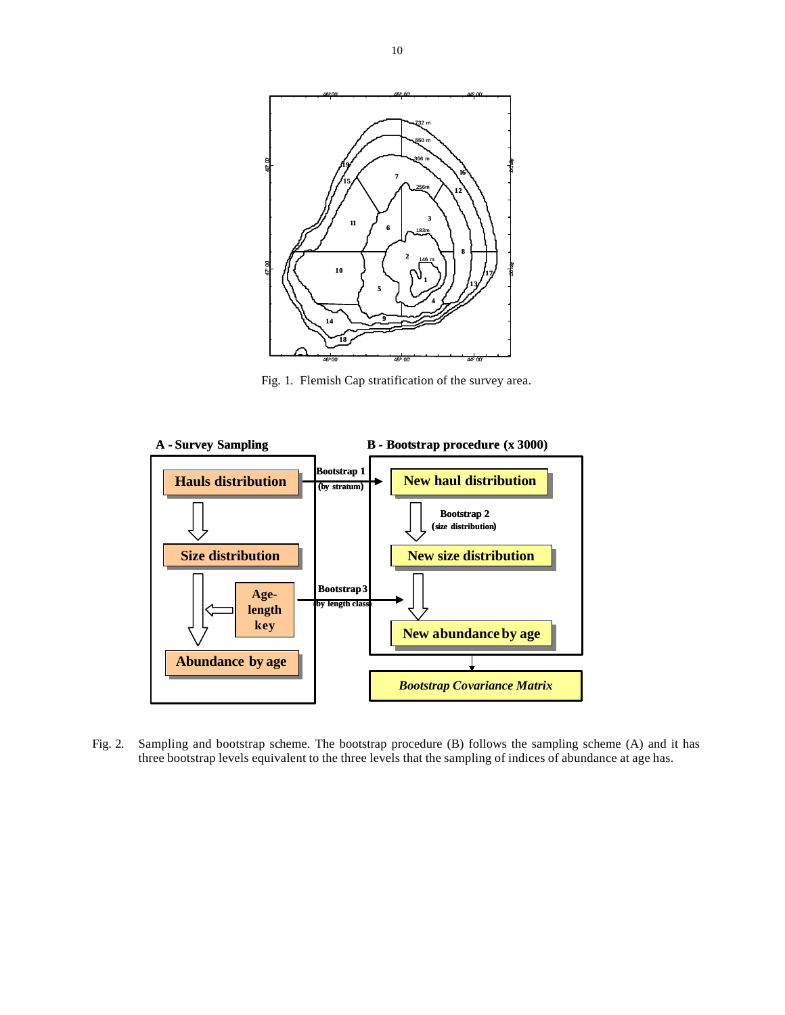

Fig. 1. Flemish Cap stratification of the survey area.



Fig. 2. Sampling and bootstrap scheme. The bootstrap procedure (B) follows the sampling scheme (A) and it has three bootstrap levels equivalent to the three levels that the sampling of indices of abundance at age has.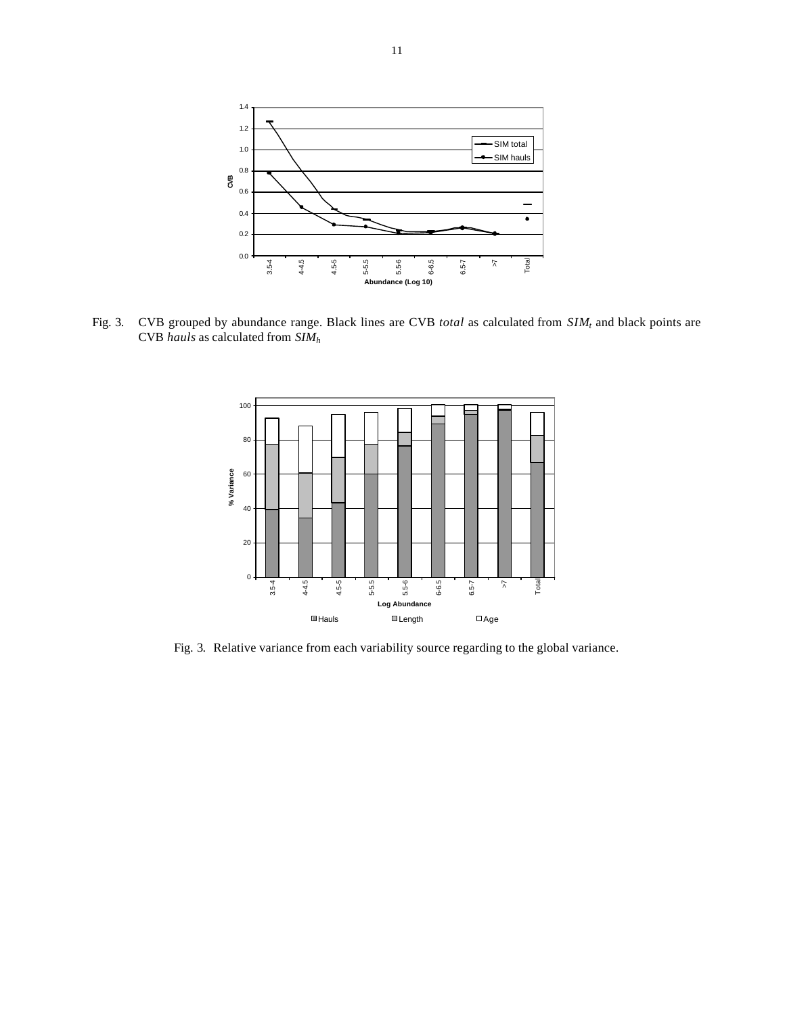

Fig. 3. CVB grouped by abundance range. Black lines are CVB *total* as calculated from *SIM<sup>t</sup>* and black points are CVB *hauls* as calculated from *SIM<sup>h</sup>*



Fig. 3.Relative variance from each variability source regarding to the global variance.